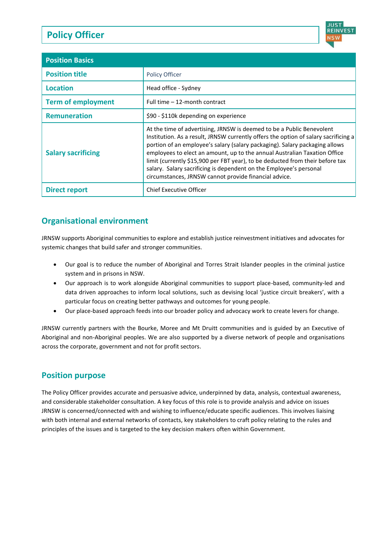# **Policy Officer**



| <b>Position Basics</b>    |                                                                                                                                                                                                                                                                                                                                                                                                                                                                                                                                          |
|---------------------------|------------------------------------------------------------------------------------------------------------------------------------------------------------------------------------------------------------------------------------------------------------------------------------------------------------------------------------------------------------------------------------------------------------------------------------------------------------------------------------------------------------------------------------------|
| <b>Position title</b>     | <b>Policy Officer</b>                                                                                                                                                                                                                                                                                                                                                                                                                                                                                                                    |
| <b>Location</b>           | Head office - Sydney                                                                                                                                                                                                                                                                                                                                                                                                                                                                                                                     |
| <b>Term of employment</b> | Full time - 12-month contract                                                                                                                                                                                                                                                                                                                                                                                                                                                                                                            |
| <b>Remuneration</b>       | \$90 - \$110k depending on experience                                                                                                                                                                                                                                                                                                                                                                                                                                                                                                    |
| <b>Salary sacrificing</b> | At the time of advertising, JRNSW is deemed to be a Public Benevolent<br>Institution. As a result, JRNSW currently offers the option of salary sacrificing a<br>portion of an employee's salary (salary packaging). Salary packaging allows<br>employees to elect an amount, up to the annual Australian Taxation Office<br>limit (currently \$15,900 per FBT year), to be deducted from their before tax<br>salary. Salary sacrificing is dependent on the Employee's personal<br>circumstances, JRNSW cannot provide financial advice. |
| <b>Direct report</b>      | <b>Chief Executive Officer</b>                                                                                                                                                                                                                                                                                                                                                                                                                                                                                                           |

## **Organisational environment**

JRNSW supports Aboriginal communities to explore and establish justice reinvestment initiatives and advocates for systemic changes that build safer and stronger communities.

- Our goal is to reduce the number of Aboriginal and Torres Strait Islander peoples in the criminal justice system and in prisons in NSW.
- Our approach is to work alongside Aboriginal communities to support place-based, community-led and data driven approaches to inform local solutions, such as devising local 'justice circuit breakers', with a particular focus on creating better pathways and outcomes for young people.
- Our place-based approach feeds into our broader policy and advocacy work to create levers for change.

JRNSW currently partners with the Bourke, Moree and Mt Druitt communities and is guided by an Executive of Aboriginal and non-Aboriginal peoples. We are also supported by a diverse network of people and organisations across the corporate, government and not for profit sectors.

## **Position purpose**

The Policy Officer provides accurate and persuasive advice, underpinned by data, analysis, contextual awareness, and considerable stakeholder consultation. A key focus of this role is to provide analysis and advice on issues JRNSW is concerned/connected with and wishing to influence/educate specific audiences. This involves liaising with both internal and external networks of contacts, key stakeholders to craft policy relating to the rules and principles of the issues and is targeted to the key decision makers often within Government.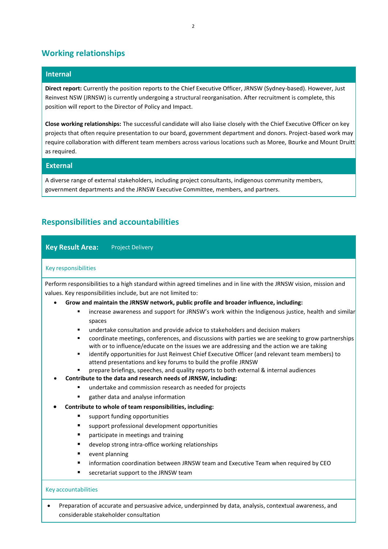## **Working relationships**

### **Internal**

 **Direct report:** Currently the position reports to the Chief Executive Officer, JRNSW (Sydney-based). However, Just Reinvest NSW (JRNSW) is currently undergoing a structural reorganisation. After recruitment is complete, this position will report to the Director of Policy and Impact.

 **Close working relationships:** The successful candidate will also liaise closely with the Chief Executive Officer on key projects that often require presentation to our board, government department and donors. Project-based work may require collaboration with different team members across various locations such as Moree, Bourke and Mount Druitt as required.

### **External**

 A diverse range of external stakeholders, including project consultants, indigenous community members, government departments and the JRNSW Executive Committee, members, and partners.

### **Responsibilities and accountabilities**

### **Key Result Area:** Project Delivery

#### Key responsibilities

 Perform responsibilities to a high standard within agreed timelines and in line with the JRNSW vision, mission and values. Key responsibilities include, but are not limited to:

- **Grow and maintain the JRNSW network, public profile and broader influence, including:**
	- increase awareness and support for JRNSW's work within the Indigenous justice, health and similar spaces
	- undertake consultation and provide advice to stakeholders and decision makers
	- coordinate meetings, conferences, and discussions with parties we are seeking to grow partnerships with or to influence/educate on the issues we are addressing and the action we are taking
	- identify opportunities for Just Reinvest Chief Executive Officer (and relevant team members) to attend presentations and key forums to build the profile JRNSW
	- prepare briefings, speeches, and quality reports to both external & internal audiences
- **Contribute to the data and research needs of JRNSW, including:**
	- undertake and commission research as needed for projects
	- gather data and analyse information
- **Contribute to whole of team responsibilities, including:**
	- support funding opportunities
	- support professional development opportunities
	- participate in meetings and training
	- develop strong intra-office working relationships
	- event planning
	- information coordination between JRNSW team and Executive Team when required by CEO
	- secretariat support to the JRNSW team

#### Key accountabilities

• Preparation of accurate and persuasive advice, underpinned by data, analysis, contextual awareness, and considerable stakeholder consultation